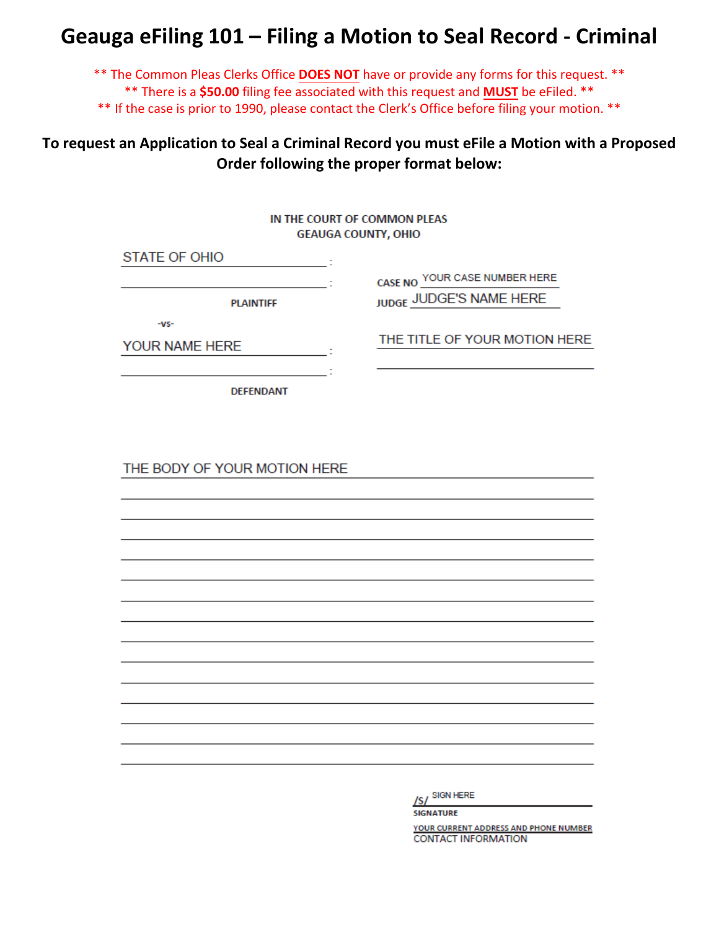# **Geauga eFiling 101 – Filing a Motion to Seal Record - Criminal**

\*\* The Common Pleas Clerks Office **DOES NOT** have or provide any forms for this request. \*\* \*\* There is a **\$50.00** filing fee associated with this request and **MUST** be eFiled. \*\*

\*\* If the case is prior to 1990, please contact the Clerk's Office before filing your motion. \*\*

## **To request an Application to Seal a Criminal Record you must eFile a Motion with a Proposed Order following the proper format below:**

|                                                                                                                      | IN THE COURT OF COMMON PLEAS<br><b>GEAUGA COUNTY, OHIO</b>                                |
|----------------------------------------------------------------------------------------------------------------------|-------------------------------------------------------------------------------------------|
| <b>STATE OF OHIO</b><br><b>Contract Contract</b><br><b>PLAINTIFF</b><br>$-VS-$<br>YOUR NAME HERE<br><b>DEFENDANT</b> | CASE NO YOUR CASE NUMBER HERE<br>JUDGE JUDGE'S NAME HERE<br>THE TITLE OF YOUR MOTION HERE |
| THE BODY OF YOUR MOTION HERE                                                                                         |                                                                                           |
|                                                                                                                      |                                                                                           |
|                                                                                                                      | /S/ SIGN HERE<br><b>SIGNATURE</b>                                                         |

YOUR CURRENT ADDRESS AND PHONE NUMBER **CONTACT INFORMATION**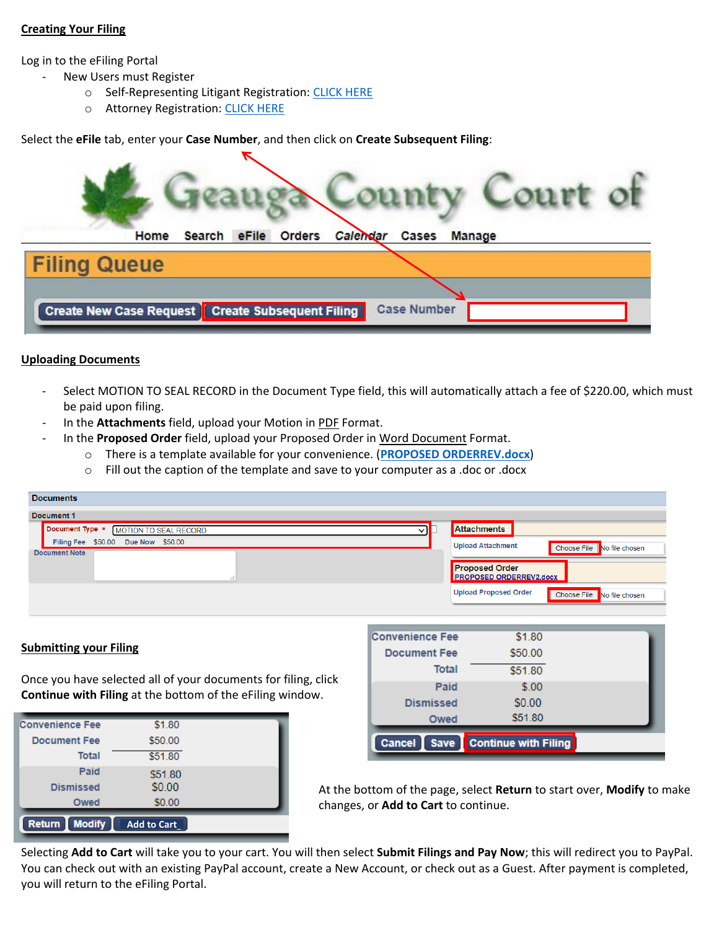### **Creating Your Filing**

Log in to the eFiling Portal

- New Users must Register
	- o Self-Representing Litigant Registration[: CLICK HERE](http://www.co.geauga.oh.us/Portals/3/resources/forms/FORMS-CLERK/Geauga%20eFiling%20101%20-%20Registering%20as%20a%20Self-Representing%20E-Filer.pdf)
	- o Attorney Registration[: CLICK HERE](http://www.co.geauga.oh.us/Portals/3/resources/forms/FORMS-CLERK/Geauga%20eFiling%20101%20-%20Attorney%20Registration.pdf)

Select the **eFile** tab, enter your **Case Number**, and then click on **Create Subsequent Filing**:

|                     | Search eFile<br>Home                             | <b>Orders</b> | Calendar | Cases              | Manage |  |
|---------------------|--------------------------------------------------|---------------|----------|--------------------|--------|--|
| <b>Filing Queue</b> |                                                  |               |          |                    |        |  |
|                     |                                                  |               |          |                    |        |  |
|                     | Create New Case Request Create Subsequent Filing |               |          | <b>Case Number</b> |        |  |

#### **Uploading Documents**

- Select MOTION TO SEAL RECORD in the Document Type field, this will automatically attach a fee of \$220.00, which must be paid upon filing.
- In the **Attachments** field, upload your Motion in PDF Format.
- In the **Proposed Order** field, upload your Proposed Order in Word Document Format.
	- o There is a template available for your convenience. (**[PROPOSED ORDERREV.docx](file:///C:/Users/cporter/Desktop/PROPOSED%20ORDERREV2.docx)**)
		- $\circ$  Fill out the caption of the template and save to your computer as a .doc or .docx

| <b>Documents</b>                                           |                                                            |
|------------------------------------------------------------|------------------------------------------------------------|
| Document 1                                                 |                                                            |
| Document Type *<br>MOTION TO SEAL RECORD                   | <b>Attachments</b>                                         |
| Filing Fee \$50.00 Due Now \$50.00<br><b>Document Note</b> | <b>Upload Attachment</b><br>Choose File No file chosen     |
|                                                            | <b>Proposed Order</b><br><b>PROPOSED ORDERREV2.docx</b>    |
|                                                            | <b>Upload Proposed Order</b><br>Choose File No file chosen |
|                                                            |                                                            |

#### **Submitting your Filing**

Once you have selected all of your documents for filing, click **Continue with Filing** at the bottom of the eFiling window.

| <b>Convenience Fee</b>         | \$1.80             |  |
|--------------------------------|--------------------|--|
| <b>Document Fee</b>            | \$50.00            |  |
| <b>Total</b>                   | \$51.80            |  |
| Paid                           | \$51.80            |  |
| <b>Dismissed</b>               | \$0.00             |  |
| Owed                           | \$0.00             |  |
| <b>Modify</b><br><b>Return</b> | <b>Add to Cart</b> |  |

| <b>Cancel</b><br><b>Save</b> | <b>Continue with Filing</b> |  |
|------------------------------|-----------------------------|--|
| Owed                         | \$51.80                     |  |
| <b>Dismissed</b>             | \$0.00                      |  |
| Paid                         | \$.00                       |  |
| Total                        | \$51.80                     |  |
| <b>Document Fee</b>          | \$50.00                     |  |
| <b>Convenience Fee</b>       | \$1.80                      |  |

At the bottom of the page, select **Return** to start over, **Modify** to make changes, or **Add to Cart** to continue.

Selecting **Add to Cart** will take you to your cart. You will then select **Submit Filings and Pay Now**; this will redirect you to PayPal. You can check out with an existing PayPal account, create a New Account, or check out as a Guest. After payment is completed, you will return to the eFiling Portal.